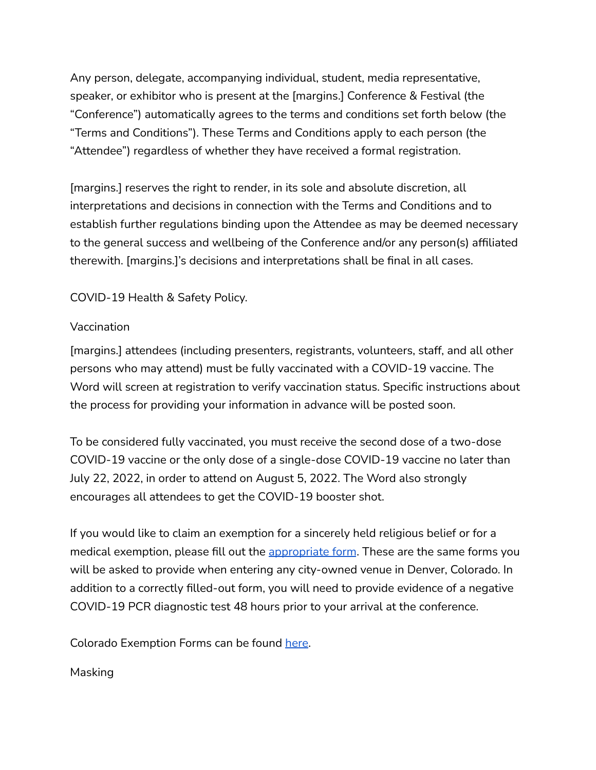Any person, delegate, accompanying individual, student, media representative, speaker, or exhibitor who is present at the [margins.] Conference & Festival (the "Conference") automatically agrees to the terms and conditions set forth below (the "Terms and Conditions"). These Terms and Conditions apply to each person (the "Attendee") regardless of whether they have received a formal registration.

[margins.] reserves the right to render, in its sole and absolute discretion, all interpretations and decisions in connection with the Terms and Conditions and to establish further regulations binding upon the Attendee as may be deemed necessary to the general success and wellbeing of the Conference and/or any person(s) affiliated therewith. [margins.]'s decisions and interpretations shall be final in all cases.

# COVID-19 Health & Safety Policy.

#### Vaccination

[margins.] attendees (including presenters, registrants, volunteers, staff, and all other persons who may attend) must be fully vaccinated with a COVID-19 vaccine. The Word will screen at registration to verify vaccination status. Specific instructions about the process for providing your information in advance will be posted soon.

To be considered fully vaccinated, you must receive the second dose of a two-dose COVID-19 vaccine or the only dose of a single-dose COVID-19 vaccine no later than July 22, 2022, in order to attend on August 5, 2022. The Word also strongly encourages all attendees to get the COVID-19 booster shot.

If you would like to claim an exemption for a sincerely held religious belief or for a medical exemption, please fill out the [appropriate](https://cdphe.colorado.gov/vaccine-exemptions) form. These are the same forms you will be asked to provide when entering any city-owned venue in Denver, Colorado. In addition to a correctly filled-out form, you will need to provide evidence of a negative COVID-19 PCR diagnostic test 48 hours prior to your arrival at the conference.

Colorado Exemption Forms can be found [here.](https://cdphe.colorado.gov/vaccine-exemptions)

## Masking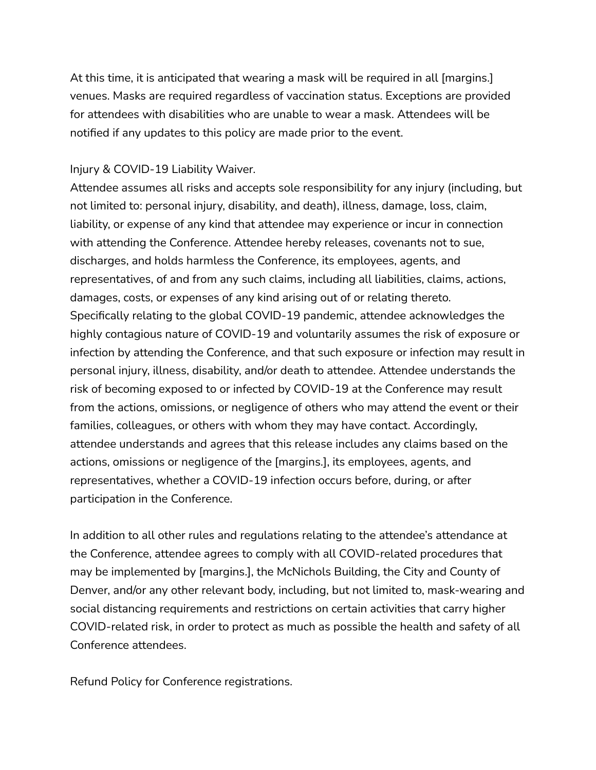At this time, it is anticipated that wearing a mask will be required in all [margins.] venues. Masks are required regardless of vaccination status. Exceptions are provided for attendees with disabilities who are unable to wear a mask. Attendees will be notified if any updates to this policy are made prior to the event.

#### Injury & COVID-19 Liability Waiver.

Attendee assumes all risks and accepts sole responsibility for any injury (including, but not limited to: personal injury, disability, and death), illness, damage, loss, claim, liability, or expense of any kind that attendee may experience or incur in connection with attending the Conference. Attendee hereby releases, covenants not to sue, discharges, and holds harmless the Conference, its employees, agents, and representatives, of and from any such claims, including all liabilities, claims, actions, damages, costs, or expenses of any kind arising out of or relating thereto. Specifically relating to the global COVID-19 pandemic, attendee acknowledges the highly contagious nature of COVID-19 and voluntarily assumes the risk of exposure or infection by attending the Conference, and that such exposure or infection may result in personal injury, illness, disability, and/or death to attendee. Attendee understands the risk of becoming exposed to or infected by COVID-19 at the Conference may result from the actions, omissions, or negligence of others who may attend the event or their families, colleagues, or others with whom they may have contact. Accordingly, attendee understands and agrees that this release includes any claims based on the actions, omissions or negligence of the [margins.], its employees, agents, and representatives, whether a COVID-19 infection occurs before, during, or after participation in the Conference.

In addition to all other rules and regulations relating to the attendee's attendance at the Conference, attendee agrees to comply with all COVID-related procedures that may be implemented by [margins.], the McNichols Building, the City and County of Denver, and/or any other relevant body, including, but not limited to, mask-wearing and social distancing requirements and restrictions on certain activities that carry higher COVID-related risk, in order to protect as much as possible the health and safety of all Conference attendees.

Refund Policy for Conference registrations.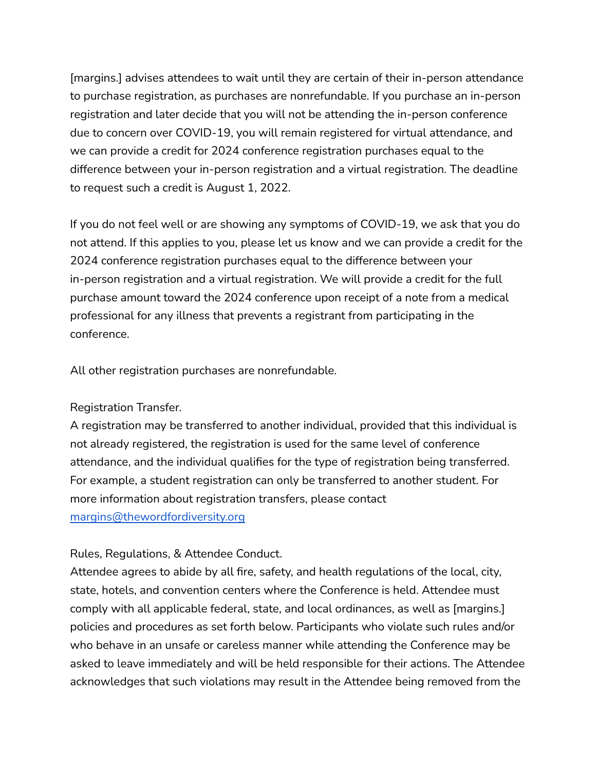[margins.] advises attendees to wait until they are certain of their in-person attendance to purchase registration, as purchases are nonrefundable. If you purchase an in-person registration and later decide that you will not be attending the in-person conference due to concern over COVID-19, you will remain registered for virtual attendance, and we can provide a credit for 2024 conference registration purchases equal to the difference between your in-person registration and a virtual registration. The deadline to request such a credit is August 1, 2022.

If you do not feel well or are showing any symptoms of COVID-19, we ask that you do not attend. If this applies to you, please let us know and we can provide a credit for the 2024 conference registration purchases equal to the difference between your in-person registration and a virtual registration. We will provide a credit for the full purchase amount toward the 2024 conference upon receipt of a note from a medical professional for any illness that prevents a registrant from participating in the conference.

All other registration purchases are nonrefundable.

## Registration Transfer.

A registration may be transferred to another individual, provided that this individual is not already registered, the registration is used for the same level of conference attendance, and the individual qualifies for the type of registration being transferred. For example, a student registration can only be transferred to another student. For more information about registration transfers, please contact [margins@thewordfordiversity.org](mailto:margins@thewordfordiversity.org)

## Rules, Regulations, & Attendee Conduct.

Attendee agrees to abide by all fire, safety, and health regulations of the local, city, state, hotels, and convention centers where the Conference is held. Attendee must comply with all applicable federal, state, and local ordinances, as well as [margins.] policies and procedures as set forth below. Participants who violate such rules and/or who behave in an unsafe or careless manner while attending the Conference may be asked to leave immediately and will be held responsible for their actions. The Attendee acknowledges that such violations may result in the Attendee being removed from the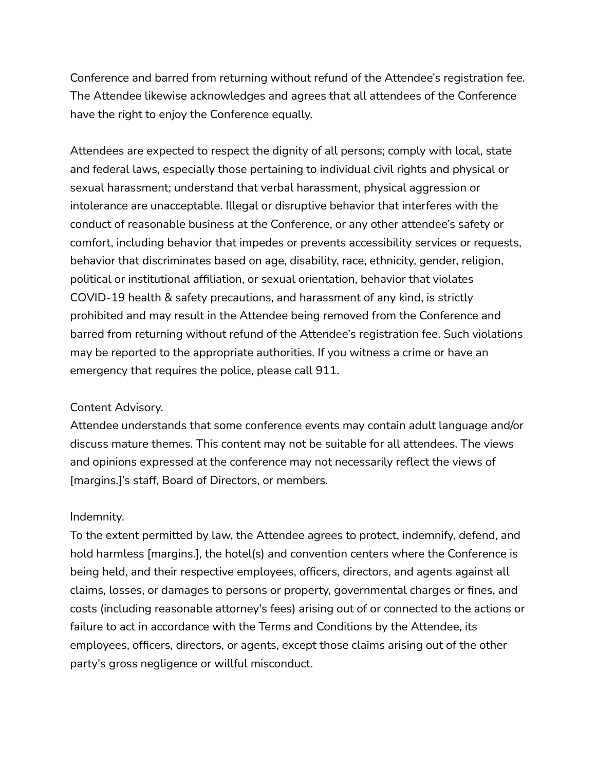Conference and barred from returning without refund of the Attendee's registration fee. The Attendee likewise acknowledges and agrees that all attendees of the Conference have the right to enjoy the Conference equally.

Attendees are expected to respect the dignity of all persons; comply with local, state and federal laws, especially those pertaining to individual civil rights and physical or sexual harassment; understand that verbal harassment, physical aggression or intolerance are unacceptable. Illegal or disruptive behavior that interferes with the conduct of reasonable business at the Conference, or any other attendee's safety or comfort, including behavior that impedes or prevents accessibility services or requests, behavior that discriminates based on age, disability, race, ethnicity, gender, religion, political or institutional affiliation, or sexual orientation, behavior that violates COVID-19 health & safety precautions, and harassment of any kind, is strictly prohibited and may result in the Attendee being removed from the Conference and barred from returning without refund of the Attendee's registration fee. Such violations may be reported to the appropriate authorities. If you witness a crime or have an emergency that requires the police, please call 911.

#### Content Advisory.

Attendee understands that some conference events may contain adult language and/or discuss mature themes. This content may not be suitable for all attendees. The views and opinions expressed at the conference may not necessarily reflect the views of [margins.]'s staff, Board of Directors, or members.

## Indemnity.

To the extent permitted by law, the Attendee agrees to protect, indemnify, defend, and hold harmless [margins.], the hotel(s) and convention centers where the Conference is being held, and their respective employees, officers, directors, and agents against all claims, losses, or damages to persons or property, governmental charges or fines, and costs (including reasonable attorney's fees) arising out of or connected to the actions or failure to act in accordance with the Terms and Conditions by the Attendee, its employees, officers, directors, or agents, except those claims arising out of the other party's gross negligence or willful misconduct.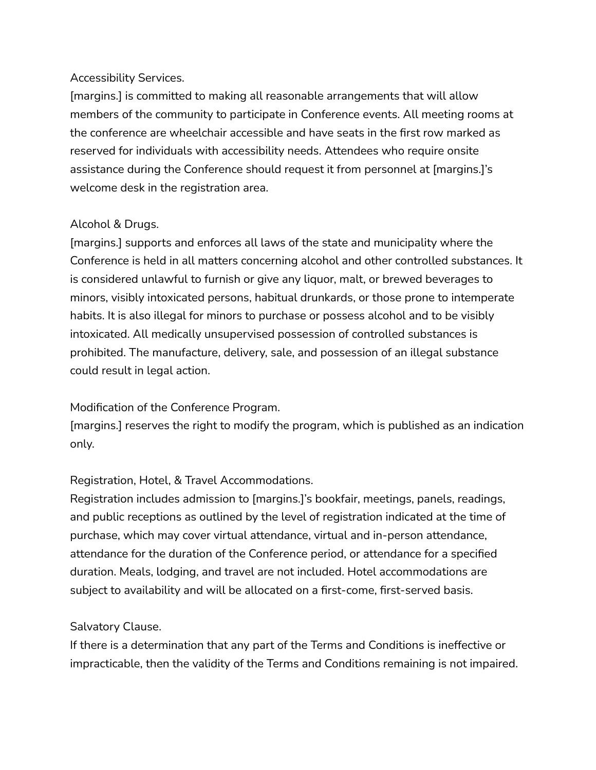#### Accessibility Services.

[margins.] is committed to making all reasonable arrangements that will allow members of the community to participate in Conference events. All meeting rooms at the conference are wheelchair accessible and have seats in the first row marked as reserved for individuals with accessibility needs. Attendees who require onsite assistance during the Conference should request it from personnel at [margins.]'s welcome desk in the registration area.

## Alcohol & Drugs.

[margins.] supports and enforces all laws of the state and municipality where the Conference is held in all matters concerning alcohol and other controlled substances. It is considered unlawful to furnish or give any liquor, malt, or brewed beverages to minors, visibly intoxicated persons, habitual drunkards, or those prone to intemperate habits. It is also illegal for minors to purchase or possess alcohol and to be visibly intoxicated. All medically unsupervised possession of controlled substances is prohibited. The manufacture, delivery, sale, and possession of an illegal substance could result in legal action.

## Modification of the Conference Program.

[margins.] reserves the right to modify the program, which is published as an indication only.

#### Registration, Hotel, & Travel Accommodations.

Registration includes admission to [margins.]'s bookfair, meetings, panels, readings, and public receptions as outlined by the level of registration indicated at the time of purchase, which may cover virtual attendance, virtual and in-person attendance, attendance for the duration of the Conference period, or attendance for a specified duration. Meals, lodging, and travel are not included. Hotel accommodations are subject to availability and will be allocated on a first-come, first-served basis.

#### Salvatory Clause.

If there is a determination that any part of the Terms and Conditions is ineffective or impracticable, then the validity of the Terms and Conditions remaining is not impaired.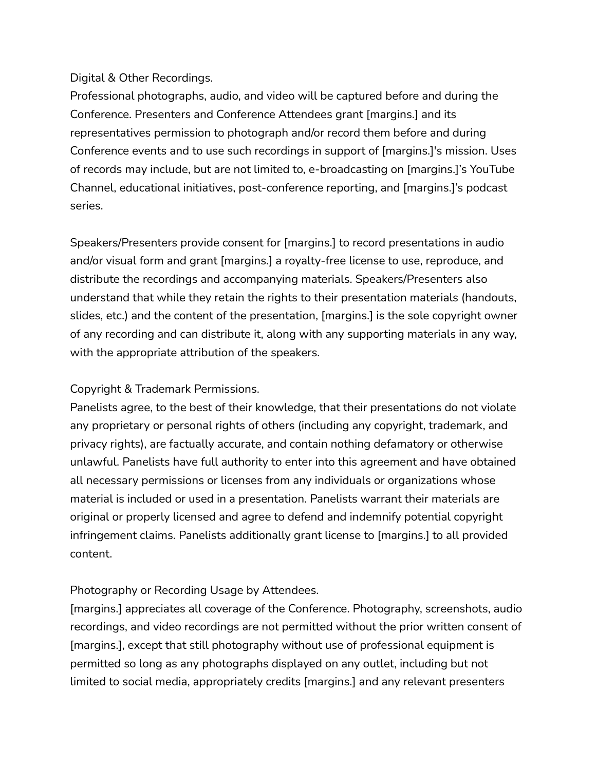#### Digital & Other Recordings.

Professional photographs, audio, and video will be captured before and during the Conference. Presenters and Conference Attendees grant [margins.] and its representatives permission to photograph and/or record them before and during Conference events and to use such recordings in support of [margins.]'s mission. Uses of records may include, but are not limited to, e-broadcasting on [margins.]'s YouTube Channel, educational initiatives, post-conference reporting, and [margins.]'s podcast series.

Speakers/Presenters provide consent for [margins.] to record presentations in audio and/or visual form and grant [margins.] a royalty-free license to use, reproduce, and distribute the recordings and accompanying materials. Speakers/Presenters also understand that while they retain the rights to their presentation materials (handouts, slides, etc.) and the content of the presentation, [margins.] is the sole copyright owner of any recording and can distribute it, along with any supporting materials in any way, with the appropriate attribution of the speakers.

## Copyright & Trademark Permissions.

Panelists agree, to the best of their knowledge, that their presentations do not violate any proprietary or personal rights of others (including any copyright, trademark, and privacy rights), are factually accurate, and contain nothing defamatory or otherwise unlawful. Panelists have full authority to enter into this agreement and have obtained all necessary permissions or licenses from any individuals or organizations whose material is included or used in a presentation. Panelists warrant their materials are original or properly licensed and agree to defend and indemnify potential copyright infringement claims. Panelists additionally grant license to [margins.] to all provided content.

## Photography or Recording Usage by Attendees.

[margins.] appreciates all coverage of the Conference. Photography, screenshots, audio recordings, and video recordings are not permitted without the prior written consent of [margins.], except that still photography without use of professional equipment is permitted so long as any photographs displayed on any outlet, including but not limited to social media, appropriately credits [margins.] and any relevant presenters